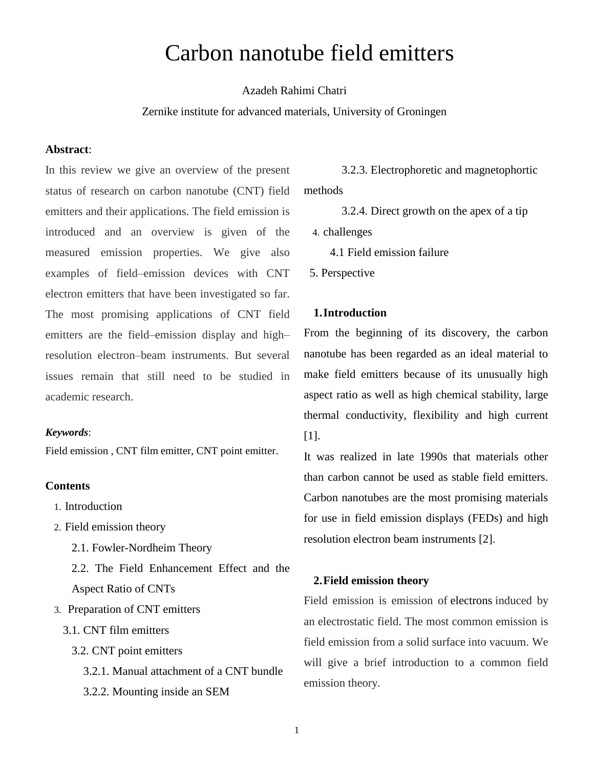# Carbon nanotube field emitters

# Azadeh Rahimi Chatri

#### Zernike institute for advanced materials, University of Groningen

## **Abstract**:

In this review we give an overview of the present status of research on carbon nanotube (CNT) field emitters and their applications. The field emission is introduced and an overview is given of the measured emission properties. We give also examples of field–emission devices with CNT electron emitters that have been investigated so far. The most promising applications of CNT field emitters are the field–emission display and high– resolution electron–beam instruments. But several issues remain that still need to be studied in academic research.

## *Keywords*:

Field emission , CNT film emitter, CNT point emitter.

#### **Contents**

- 1. Introduction
- 2. Field emission theory
	- 2.1. Fowler-Nordheim Theory
	- 2.2. The Field Enhancement Effect and the Aspect Ratio of CNTs
- 3. Preparation of CNT emitters
	- 3.1. CNT film emitters
		- 3.2. CNT point emitters
			- 3.2.1. Manual attachment of a CNT bundle 3.2.2. Mounting inside an SEM

 3.2.3. Electrophoretic and magnetophortic methods

3.2.4. Direct growth on the apex of a tip

4. challenges

4.1 Field emission failure

5. Perspective

# **1.Introduction**

From the beginning of its discovery, the carbon nanotube has been regarded as an ideal material to make field emitters because of its unusually high aspect ratio as well as high chemical stability, large thermal conductivity, flexibility and high current [1].

It was realized in late 1990s that materials other than carbon cannot be used as stable field emitters. Carbon nanotubes are the most promising materials for use in field emission displays (FEDs) and high resolution electron beam instruments [2].

#### **2.Field emission theory**

Field emission is emission of [electrons](http://en.wikipedia.org/wiki/Electron) induced by an electrostatic field. The most common emission is field emission from a solid surface into vacuum. We will give a brief introduction to a common field emission theory.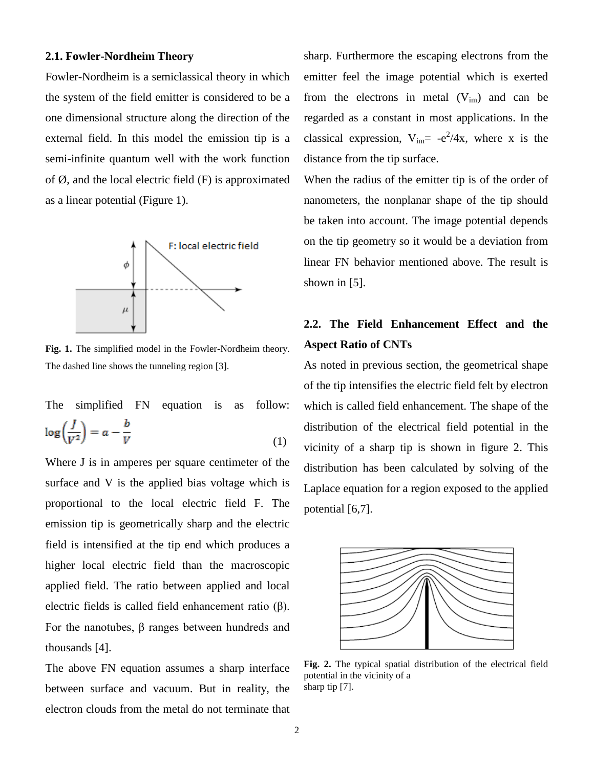#### **2.1. Fowler-Nordheim Theory**

Fowler-Nordheim is a semiclassical theory in which the system of the field emitter is considered to be a one dimensional structure along the direction of the external field. In this model the emission tip is a semi-infinite quantum well with the work function of  $\emptyset$ , and the local electric field  $(F)$  is approximated as a linear potential (Figure 1).



**Fig. 1.** The simplified model in the Fowler-Nordheim theory. The dashed line shows the tunneling region [3].

The simplified FN equation is as follow:  $(1)$ 

Where J is in amperes per square centimeter of the surface and V is the applied bias voltage which is proportional to the local electric field F. The emission tip is geometrically sharp and the electric field is intensified at the tip end which produces a higher local electric field than the macroscopic applied field. The ratio between applied and local electric fields is called field enhancement ratio (β). For the nanotubes, β ranges between hundreds and thousands [4].

The above FN equation assumes a sharp interface between surface and vacuum. But in reality, the electron clouds from the metal do not terminate that sharp. Furthermore the escaping electrons from the emitter feel the image potential which is exerted from the electrons in metal  $(V_{im})$  and can be regarded as a constant in most applications. In the classical expression,  $V_{im} = -e^2/4x$ , where x is the distance from the tip surface.

When the radius of the emitter tip is of the order of nanometers, the nonplanar shape of the tip should be taken into account. The image potential depends on the tip geometry so it would be a deviation from linear FN behavior mentioned above. The result is shown in [5].

# **2.2. The Field Enhancement Effect and the Aspect Ratio of CNTs**

As noted in previous section, the geometrical shape of the tip intensifies the electric field felt by electron which is called field enhancement. The shape of the distribution of the electrical field potential in the vicinity of a sharp tip is shown in figure 2. This distribution has been calculated by solving of the Laplace equation for a region exposed to the applied potential [6,7].



**Fig. 2.** The typical spatial distribution of the electrical field potential in the vicinity of a sharp tip [7].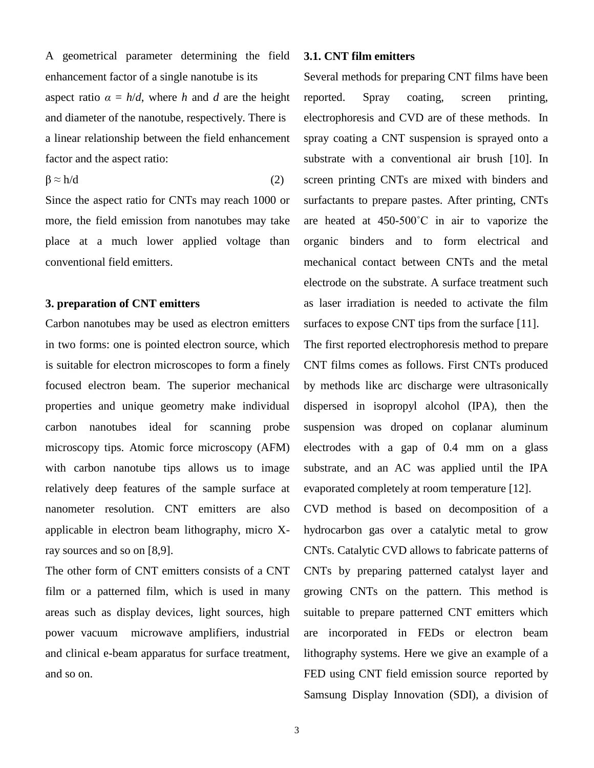A geometrical parameter determining the field enhancement factor of a single nanotube is its aspect ratio  $\alpha = h/d$ , where *h* and *d* are the height and diameter of the nanotube, respectively. There is a linear relationship between the field enhancement factor and the aspect ratio:

 $\beta \approx h/d$  (2)

Since the aspect ratio for CNTs may reach 1000 or more, the field emission from nanotubes may take place at a much lower applied voltage than conventional field emitters.

# **3. preparation of CNT emitters**

Carbon nanotubes may be used as electron emitters in two forms: one is pointed electron source, which is suitable for electron microscopes to form a finely focused electron beam. The superior mechanical properties and unique geometry make individual carbon nanotubes ideal for scanning probe microscopy tips. Atomic force microscopy (AFM) with carbon nanotube tips allows us to image relatively deep features of the sample surface at nanometer resolution. CNT emitters are also applicable in electron beam lithography, micro Xray sources and so on [8,9].

The other form of CNT emitters consists of a CNT film or a patterned film, which is used in many areas such as display devices, light sources, high power vacuum microwave amplifiers, industrial and clinical e-beam apparatus for surface treatment, and so on.

#### **3.1. CNT film emitters**

Several methods for preparing CNT films have been reported. Spray coating, screen printing, electrophoresis and CVD are of these methods. In spray coating a CNT suspension is sprayed onto a substrate with a conventional air brush [10]. In screen printing CNTs are mixed with binders and surfactants to prepare pastes. After printing, CNTs are heated at 450-500˚C in air to vaporize the organic binders and to form electrical and mechanical contact between CNTs and the metal electrode on the substrate. A surface treatment such as laser irradiation is needed to activate the film surfaces to expose CNT tips from the surface [11].

The first reported electrophoresis method to prepare CNT films comes as follows. First CNTs produced by methods like arc discharge were ultrasonically dispersed in isopropyl alcohol (IPA), then the suspension was droped on coplanar aluminum electrodes with a gap of 0.4 mm on a glass substrate, and an AC was applied until the IPA evaporated completely at room temperature [12].

CVD method is based on decomposition of a hydrocarbon gas over a catalytic metal to grow CNTs. Catalytic CVD allows to fabricate patterns of CNTs by preparing patterned catalyst layer and growing CNTs on the pattern. This method is suitable to prepare patterned CNT emitters which are incorporated in FEDs or electron beam lithography systems. Here we give an example of a FED using CNT field emission source reported by Samsung Display Innovation (SDI), a division of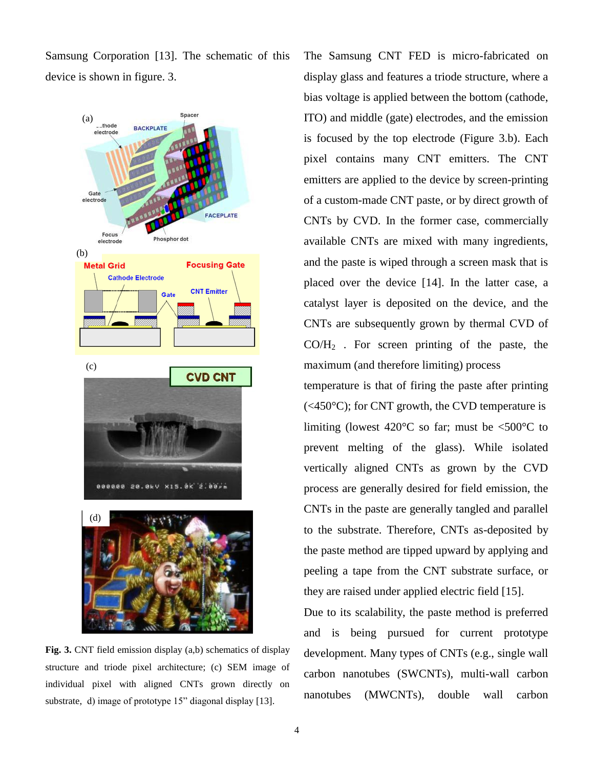Samsung Corporation [13]. The schematic of this device is shown in figure. 3.



**Fig. 3.** CNT field emission display (a,b) schematics of display structure and triode pixel architecture; (c) SEM image of individual pixel with aligned CNTs grown directly on substrate, d) image of prototype 15" diagonal display [13].

The Samsung CNT FED is micro-fabricated on display glass and features a triode structure, where a bias voltage is applied between the bottom (cathode, ITO) and middle (gate) electrodes, and the emission is focused by the top electrode (Figure 3.b). Each pixel contains many CNT emitters. The CNT emitters are applied to the device by screen-printing of a custom-made CNT paste, or by direct growth of CNTs by CVD. In the former case, commercially available CNTs are mixed with many ingredients, and the paste is wiped through a screen mask that is placed over the device [14]. In the latter case, a catalyst layer is deposited on the device, and the CNTs are subsequently grown by thermal CVD of  $CO/H<sub>2</sub>$ . For screen printing of the paste, the maximum (and therefore limiting) process

temperature is that of firing the paste after printing  $(<450^{\circ}$ C); for CNT growth, the CVD temperature is limiting (lowest  $420^{\circ}$ C so far; must be <500 $^{\circ}$ C to prevent melting of the glass). While isolated vertically aligned CNTs as grown by the CVD process are generally desired for field emission, the CNTs in the paste are generally tangled and parallel to the substrate. Therefore, CNTs as-deposited by the paste method are tipped upward by applying and peeling a tape from the CNT substrate surface, or they are raised under applied electric field [15].

Due to its scalability, the paste method is preferred and is being pursued for current prototype development. Many types of CNTs (e.g., single wall carbon nanotubes (SWCNTs), multi-wall carbon nanotubes (MWCNTs), double wall carbon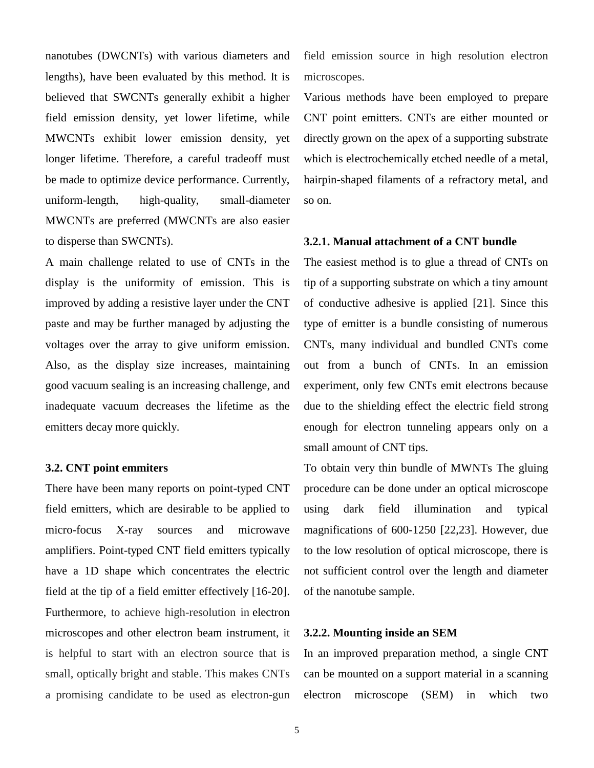nanotubes (DWCNTs) with various diameters and lengths), have been evaluated by this method. It is believed that SWCNTs generally exhibit a higher field emission density, yet lower lifetime, while MWCNTs exhibit lower emission density, yet longer lifetime. Therefore, a careful tradeoff must be made to optimize device performance. Currently, uniform-length, high-quality, small-diameter MWCNTs are preferred (MWCNTs are also easier to disperse than SWCNTs).

A main challenge related to use of CNTs in the display is the uniformity of emission. This is improved by adding a resistive layer under the CNT paste and may be further managed by adjusting the voltages over the array to give uniform emission. Also, as the display size increases, maintaining good vacuum sealing is an increasing challenge, and inadequate vacuum decreases the lifetime as the emitters decay more quickly.

#### **3.2. CNT point emmiters**

There have been many reports on point-typed CNT field emitters, which are desirable to be applied to micro-focus X-ray sources and microwave amplifiers. Point-typed CNT field emitters typically have a 1D shape which concentrates the electric field at the tip of a field emitter effectively [16-20]. Furthermore, to achieve high-resolution in [electron](http://en.wikipedia.org/wiki/Transmission_electron_microscope)  [microscopes](http://en.wikipedia.org/wiki/Transmission_electron_microscope) and other electron beam instrument, it is helpful to start with an electron source that is small, optically bright and stable. This makes CNTs a promising candidate to be used as electron-gun field emission source in high resolution electron microscopes.

Various methods have been employed to prepare CNT point emitters. CNTs are either mounted or directly grown on the apex of a supporting substrate which is electrochemically etched needle of a metal, hairpin-shaped filaments of a refractory metal, and so on.

#### **3.2.1. Manual attachment of a CNT bundle**

The easiest method is to glue a thread of CNTs on tip of a supporting substrate on which a tiny amount of conductive adhesive is applied [21]. Since this type of emitter is a bundle consisting of numerous CNTs, many individual and bundled CNTs come out from a bunch of CNTs. In an emission experiment, only few CNTs emit electrons because due to the shielding effect the electric field strong enough for electron tunneling appears only on a small amount of CNT tips.

To obtain very thin bundle of MWNTs The gluing procedure can be done under an optical microscope using dark field illumination and typical magnifications of 600-1250 [22,23]. However, due to the low resolution of optical microscope, there is not sufficient control over the length and diameter of the nanotube sample.

#### **3.2.2. Mounting inside an SEM**

In an improved preparation method, a single CNT can be mounted on a support material in a scanning electron microscope (SEM) in which two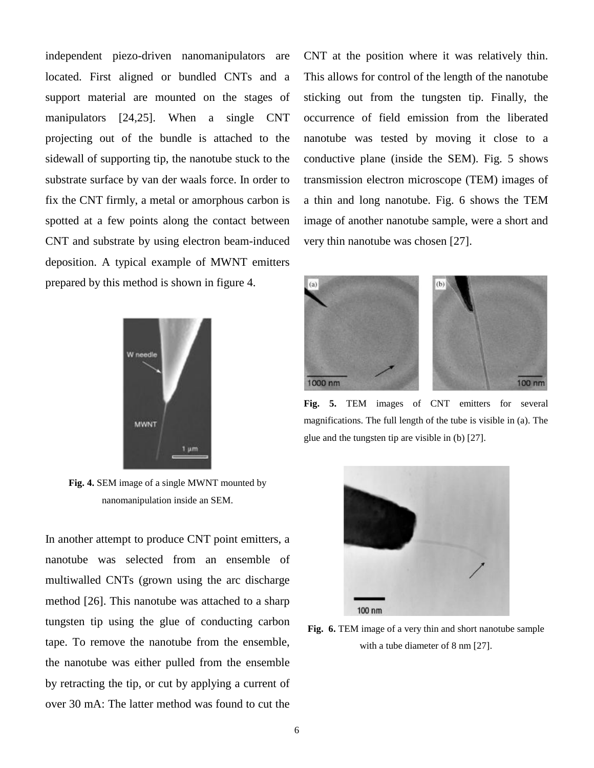independent piezo-driven nanomanipulators are located. First aligned or bundled CNTs and a support material are mounted on the stages of manipulators [24,25]. When a single CNT projecting out of the bundle is attached to the sidewall of supporting tip, the nanotube stuck to the substrate surface by van der waals force. In order to fix the CNT firmly, a metal or amorphous carbon is spotted at a few points along the contact between CNT and substrate by using electron beam-induced deposition. A typical example of MWNT emitters prepared by this method is shown in figure 4.



**Fig. 4.** SEM image of a single MWNT mounted by nanomanipulation inside an SEM.

In another attempt to produce CNT point emitters, a nanotube was selected from an ensemble of multiwalled CNTs (grown using the arc discharge method [26]. This nanotube was attached to a sharp tungsten tip using the glue of conducting carbon tape. To remove the nanotube from the ensemble, the nanotube was either pulled from the ensemble by retracting the tip, or cut by applying a current of over 30 mA: The latter method was found to cut the

CNT at the position where it was relatively thin. This allows for control of the length of the nanotube sticking out from the tungsten tip. Finally, the occurrence of field emission from the liberated nanotube was tested by moving it close to a conductive plane (inside the SEM). Fig. 5 shows transmission electron microscope (TEM) images of a thin and long nanotube. Fig. 6 shows the TEM image of another nanotube sample, were a short and very thin nanotube was chosen [27].



**Fig. 5.** TEM images of CNT emitters for several magnifications. The full length of the tube is visible in (a). The glue and the tungsten tip are visible in (b) [27].



**Fig. 6.** TEM image of a very thin and short nanotube sample with a tube diameter of 8 nm [27].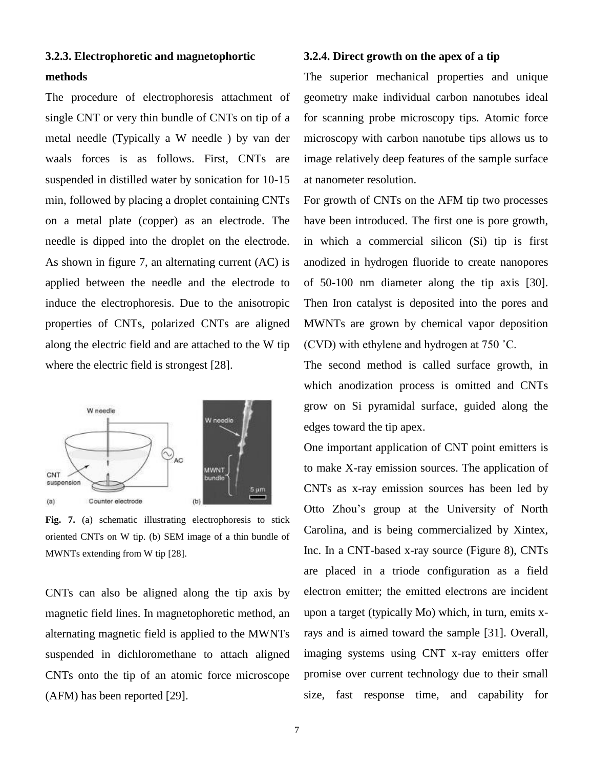# **3.2.3. Electrophoretic and magnetophortic methods**

The procedure of electrophoresis attachment of single CNT or very thin bundle of CNTs on tip of a metal needle (Typically a W needle ) by van der waals forces is as follows. First, CNTs are suspended in distilled water by sonication for 10-15 min, followed by placing a droplet containing CNTs on a metal plate (copper) as an electrode. The needle is dipped into the droplet on the electrode. As shown in figure 7, an alternating current (AC) is applied between the needle and the electrode to induce the electrophoresis. Due to the anisotropic properties of CNTs, polarized CNTs are aligned along the electric field and are attached to the W tip where the electric field is strongest [28].



**Fig. 7.** (a) schematic illustrating electrophoresis to stick oriented CNTs on W tip. (b) SEM image of a thin bundle of MWNTs extending from W tip [28].

CNTs can also be aligned along the tip axis by magnetic field lines. In magnetophoretic method, an alternating magnetic field is applied to the MWNTs suspended in dichloromethane to attach aligned CNTs onto the tip of an atomic force microscope (AFM) has been reported [29].

#### **3.2.4. Direct growth on the apex of a tip**

The superior mechanical properties and unique geometry make individual carbon nanotubes ideal for scanning probe microscopy tips. Atomic force microscopy with carbon nanotube tips allows us to image relatively deep features of the sample surface at nanometer resolution.

For growth of CNTs on the AFM tip two processes have been introduced. The first one is pore growth, in which a commercial silicon (Si) tip is first anodized in hydrogen fluoride to create nanopores of 50-100 nm diameter along the tip axis [30]. Then Iron catalyst is deposited into the pores and MWNTs are grown by chemical vapor deposition (CVD) with ethylene and hydrogen at 750 ˚C.

The second method is called surface growth, in which anodization process is omitted and CNTs grow on Si pyramidal surface, guided along the edges toward the tip apex.

One important application of CNT point emitters is to make X-ray emission sources. The application of CNTs as x-ray emission sources has been led by Otto Zhou's group at the University of North Carolina, and is being commercialized by Xintex, Inc. In a CNT-based x-ray source (Figure 8), CNTs are placed in a triode configuration as a field electron emitter; the emitted electrons are incident upon a target (typically Mo) which, in turn, emits xrays and is aimed toward the sample [31]. Overall, imaging systems using CNT x-ray emitters offer promise over current technology due to their small size, fast response time, and capability for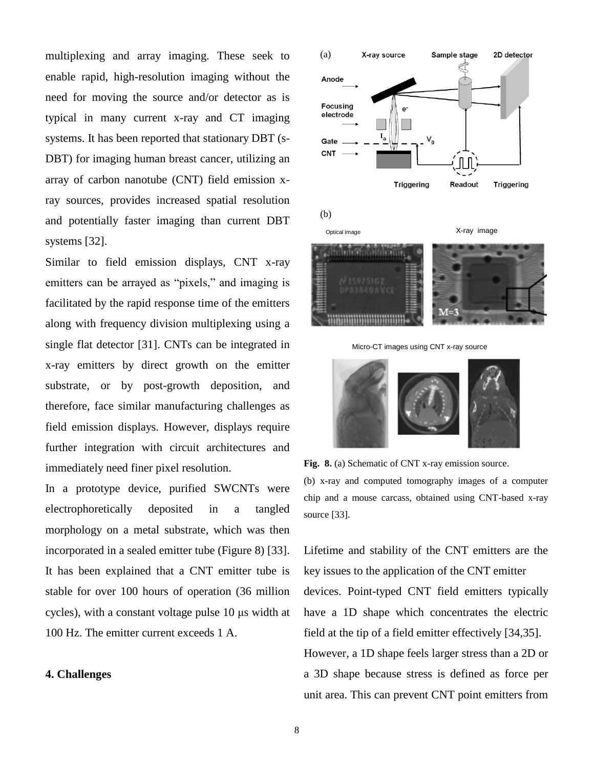multiplexing and array imaging. These seek to enable rapid, high-resolution imaging without the need for moving the source and/or detector as is typical in many current x-ray and CT imaging systems. It has been reported that stationary DBT (s-DBT) for imaging human breast cancer, utilizing an array of carbon nanotube (CNT) field emission xray sources, provides increased spatial resolution and potentially faster imaging than current DBT systems [32].

Similar to field emission displays, CNT x-ray emitters can be arrayed as "pixels," and imaging is facilitated by the rapid response time of the emitters along with frequency division multiplexing using a single flat detector [31]. CNTs can be integrated in x-ray emitters by direct growth on the emitter substrate, or by post-growth deposition, and therefore, face similar manufacturing challenges as field emission displays. However, displays require further integration with circuit architectures and immediately need finer pixel resolution.

In a prototype device, purified SWCNTs were electrophoretically deposited in a tangled morphology on a metal substrate, which was then incorporated in a sealed emitter tube (Figure 8) [33]. It has been explained that a CNT emitter tube is stable for over 100 hours of operation (36 million cycles), with a constant voltage pulse 10 μs width at 100 Hz. The emitter current exceeds 1 A.

# **4. Challenges**



Micro-CT images using CNT x-ray source



**Fig. 8.** (a) Schematic of CNT x-ray emission source. (b) x-ray and computed tomography images of a computer chip and a mouse carcass, obtained using CNT-based x-ray source [33].

Lifetime and stability of the CNT emitters are the key issues to the application of the CNT emitter devices. Point-typed CNT field emitters typically have a 1D shape which concentrates the electric field at the tip of a field emitter effectively [34,35]. However, a 1D shape feels larger stress than a 2D or a 3D shape because stress is defined as force per unit area. This can prevent CNT point emitters from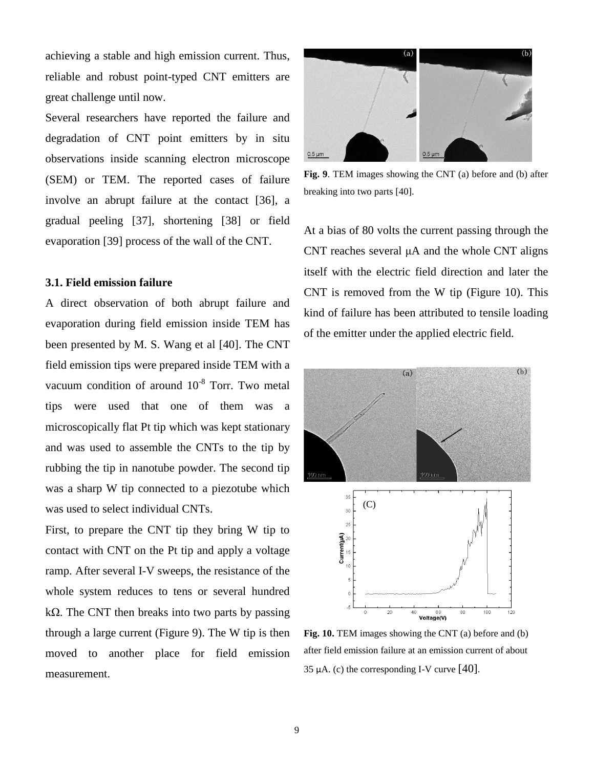achieving a stable and high emission current. Thus, reliable and robust point-typed CNT emitters are great challenge until now.

Several researchers have reported the failure and degradation of CNT point emitters by in situ observations inside scanning electron microscope (SEM) or TEM. The reported cases of failure involve an abrupt failure at the contact [36], a gradual peeling [37], shortening [38] or field evaporation [39] process of the wall of the CNT.

# **3.1. Field emission failure**

A direct observation of both abrupt failure and evaporation during field emission inside TEM has been presented by M. S. Wang et al [40]. The CNT field emission tips were prepared inside TEM with a vacuum condition of around  $10^{-8}$  Torr. Two metal tips were used that one of them was a microscopically flat Pt tip which was kept stationary and was used to assemble the CNTs to the tip by rubbing the tip in nanotube powder. The second tip was a sharp W tip connected to a piezotube which was used to select individual CNTs.

First, to prepare the CNT tip they bring W tip to contact with CNT on the Pt tip and apply a voltage ramp. After several I-V sweeps, the resistance of the whole system reduces to tens or several hundred kΩ. The CNT then breaks into two parts by passing through a large current (Figure 9). The W tip is then moved to another place for field emission measurement.



**Fig. 9**. TEM images showing the CNT (a) before and (b) after breaking into two parts [40].

At a bias of 80 volts the current passing through the CNT reaches several μA and the whole CNT aligns itself with the electric field direction and later the CNT is removed from the W tip (Figure 10). This kind of failure has been attributed to tensile loading of the emitter under the applied electric field.



**Fig. 10.** TEM images showing the CNT (a) before and (b) after field emission failure at an emission current of about 35  $\mu$ A. (c) the corresponding I-V curve [40].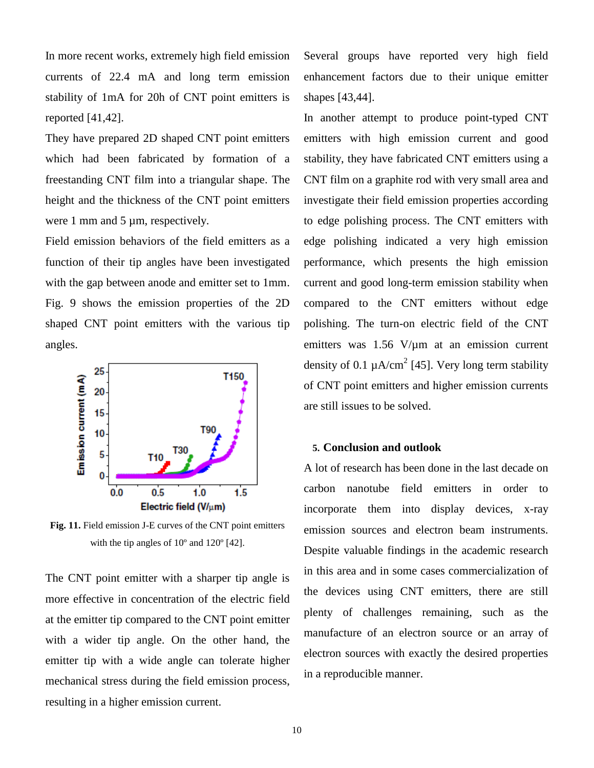In more recent works, extremely high field emission currents of 22.4 mA and long term emission stability of 1mA for 20h of CNT point emitters is reported [41,42].

They have prepared 2D shaped CNT point emitters which had been fabricated by formation of a freestanding CNT film into a triangular shape. The height and the thickness of the CNT point emitters were 1 mm and 5 µm, respectively.

Field emission behaviors of the field emitters as a function of their tip angles have been investigated with the gap between anode and emitter set to 1mm. Fig. 9 shows the emission properties of the 2D shaped CNT point emitters with the various tip angles.



**Fig. 11.** Field emission J-E curves of the CNT point emitters with the tip angles of 10º and 120º [42].

The CNT point emitter with a sharper tip angle is more effective in concentration of the electric field at the emitter tip compared to the CNT point emitter with a wider tip angle. On the other hand, the emitter tip with a wide angle can tolerate higher mechanical stress during the field emission process, resulting in a higher emission current.

Several groups have reported very high field enhancement factors due to their unique emitter shapes [43,44].

In another attempt to produce point-typed CNT emitters with high emission current and good stability, they have fabricated CNT emitters using a CNT film on a graphite rod with very small area and investigate their field emission properties according to edge polishing process. The CNT emitters with edge polishing indicated a very high emission performance, which presents the high emission current and good long-term emission stability when compared to the CNT emitters without edge polishing. The turn-on electric field of the CNT emitters was 1.56 V/µm at an emission current density of 0.1  $\mu$ A/cm<sup>2</sup> [45]. Very long term stability of CNT point emitters and higher emission currents are still issues to be solved.

# **5. Conclusion and outlook**

A lot of research has been done in the last decade on carbon nanotube field emitters in order to incorporate them into display devices, x-ray emission sources and electron beam instruments. Despite valuable findings in the academic research in this area and in some cases commercialization of the devices using CNT emitters, there are still plenty of challenges remaining, such as the manufacture of an electron source or an array of electron sources with exactly the desired properties in a reproducible manner.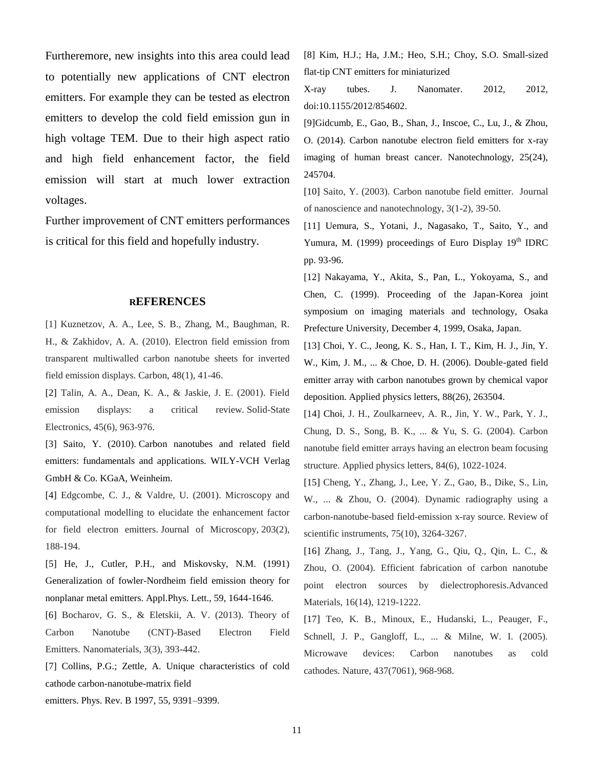Furtheremore, new insights into this area could lead to potentially new applications of CNT electron emitters. For example they can be tested as electron emitters to develop the cold field emission gun in high voltage TEM. Due to their high aspect ratio and high field enhancement factor, the field emission will start at much lower extraction voltages.

Further improvement of CNT emitters performances is critical for this field and hopefully industry.

#### **REFERENCES**

[1] Kuznetzov, A. A., Lee, S. B., Zhang, M., Baughman, R. H., & Zakhidov, A. A. (2010). Electron field emission from transparent multiwalled carbon nanotube sheets for inverted field emission displays. Carbon, 48(1), 41-46.

[2] Talin, A. A., Dean, K. A., & Jaskie, J. E. (2001). Field emission displays: a critical review. Solid-State Electronics, 45(6), 963-976.

[3] Saito, Y. (2010). Carbon nanotubes and related field emitters: fundamentals and applications*.* WILY-VCH Verlag GmbH & Co. KGaA, Weinheim.

[4] Edgcombe, C. J., & Valdre, U. (2001). Microscopy and computational modelling to elucidate the enhancement factor for field electron emitters. Journal of Microscopy, 203(2), 188-194.

[5] He, J., Cutler, P.H., and Miskovsky, N.M. (1991) Generalization of fowler-Nordheim field emission theory for nonplanar metal emitters. Appl.Phys. Lett., 59, 1644-1646.

[6] Bocharov, G. S., & Eletskii, A. V. (2013). Theory of Carbon Nanotube (CNT)-Based Electron Field Emitters. Nanomaterials, 3(3), 393-442.

[7] Collins, P.G.; Zettle, A. Unique characteristics of cold cathode carbon-nanotube-matrix field

emitters. Phys. Rev. B 1997, 55, 9391–9399.

[8] Kim, H.J.; Ha, J.M.; Heo, S.H.; Choy, S.O. Small-sized flat-tip CNT emitters for miniaturized

X-ray tubes. J. Nanomater. 2012, 2012, doi:10.1155/2012/854602.

[9]Gidcumb, E., Gao, B., Shan, J., Inscoe, C., Lu, J., & Zhou, O. (2014). Carbon nanotube electron field emitters for x-ray imaging of human breast cancer. Nanotechnology, 25(24), 245704.

[10] Saito, Y. (2003). Carbon nanotube field emitter. Journal of nanoscience and nanotechnology, 3(1-2), 39-50.

[11] Uemura, S., Yotani, J., Nagasako, T., Saito, Y., and Yumura, M. (1999) proceedings of Euro Display  $19<sup>th</sup>$  IDRC pp. 93-96.

[12] Nakayama, Y., Akita, S., Pan, L., Yokoyama, S., and Chen, C. (1999). Proceeding of the Japan-Korea joint symposium on imaging materials and technology, Osaka Prefecture University, December 4, 1999, Osaka, Japan.

[13] Choi, Y. C., Jeong, K. S., Han, I. T., Kim, H. J., Jin, Y. W., Kim, J. M., ... & Choe, D. H. (2006). Double-gated field emitter array with carbon nanotubes grown by chemical vapor deposition. Applied physics letters, 88(26), 263504.

[14] Choi, J. H., Zoulkarneev, A. R., Jin, Y. W., Park, Y. J., Chung, D. S., Song, B. K., ... & Yu, S. G. (2004). Carbon nanotube field emitter arrays having an electron beam focusing structure. Applied physics letters, 84(6), 1022-1024.

[15] Cheng, Y., Zhang, J., Lee, Y. Z., Gao, B., Dike, S., Lin, W., ... & Zhou, O. (2004). Dynamic radiography using a carbon-nanotube-based field-emission x-ray source. Review of scientific instruments, 75(10), 3264-3267.

[16] Zhang, J., Tang, J., Yang, G., Qiu, Q., Qin, L. C., & Zhou, O. (2004). Efficient fabrication of carbon nanotube point electron sources by dielectrophoresis.Advanced Materials, 16(14), 1219-1222.

[17] Teo, K. B., Minoux, E., Hudanski, L., Peauger, F., Schnell, J. P., Gangloff, L., ... & Milne, W. I. (2005). Microwave devices: Carbon nanotubes as cold cathodes. Nature, 437(7061), 968-968.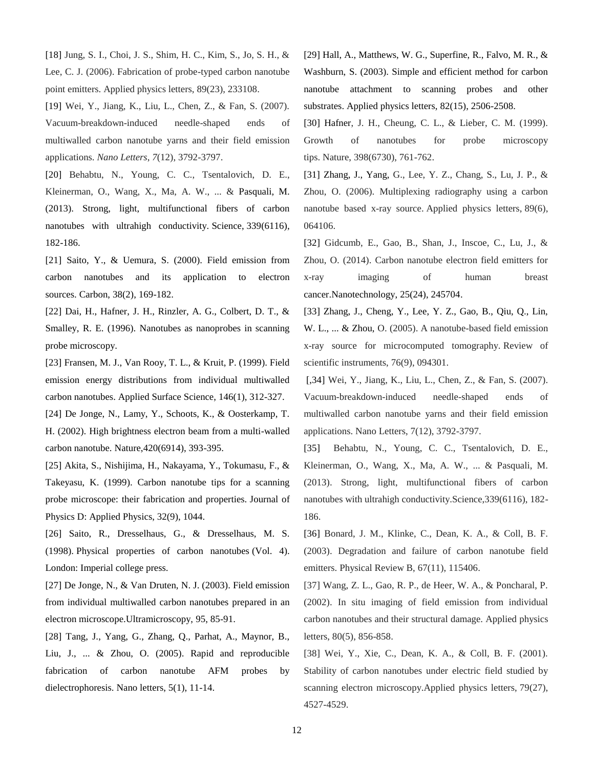[18] Jung, S. I., Choi, J. S., Shim, H. C., Kim, S., Jo, S. H., & Lee, C. J. (2006). Fabrication of probe-typed carbon nanotube point emitters. Applied physics letters, 89(23), 233108.

[19] Wei, Y., Jiang, K., Liu, L., Chen, Z., & Fan, S. (2007). Vacuum-breakdown-induced needle-shaped ends of multiwalled carbon nanotube yarns and their field emission applications. *Nano Letters*, *7*(12), 3792-3797.

[20] Behabtu, N., Young, C. C., Tsentalovich, D. E., Kleinerman, O., Wang, X., Ma, A. W., ... & Pasquali, M. (2013). Strong, light, multifunctional fibers of carbon nanotubes with ultrahigh conductivity. Science, 339(6116), 182-186.

[21] Saito, Y., & Uemura, S. (2000). Field emission from carbon nanotubes and its application to electron sources. Carbon, 38(2), 169-182.

[22] Dai, H., Hafner, J. H., Rinzler, A. G., Colbert, D. T., & Smalley, R. E. (1996). Nanotubes as nanoprobes in scanning probe microscopy.

[23] Fransen, M. J., Van Rooy, T. L., & Kruit, P. (1999). Field emission energy distributions from individual multiwalled carbon nanotubes. Applied Surface Science, 146(1), 312-327.

[24] De Jonge, N., Lamy, Y., Schoots, K., & Oosterkamp, T. H. (2002). High brightness electron beam from a multi-walled carbon nanotube. Nature,420(6914), 393-395.

[25] Akita, S., Nishijima, H., Nakayama, Y., Tokumasu, F., & Takeyasu, K. (1999). Carbon nanotube tips for a scanning probe microscope: their fabrication and properties. Journal of Physics D: Applied Physics, 32(9), 1044.

[26] Saito, R., Dresselhaus, G., & Dresselhaus, M. S. (1998). Physical properties of carbon nanotubes (Vol. 4). London: Imperial college press.

[27] De Jonge, N., & Van Druten, N. J. (2003). Field emission from individual multiwalled carbon nanotubes prepared in an electron microscope.Ultramicroscopy, 95, 85-91.

[28] Tang, J., Yang, G., Zhang, Q., Parhat, A., Maynor, B., Liu, J., ... & Zhou, O. (2005). Rapid and reproducible fabrication of carbon nanotube AFM probes by dielectrophoresis. Nano letters, 5(1), 11-14.

[29] Hall, A., Matthews, W. G., Superfine, R., Falvo, M. R., & Washburn, S. (2003). Simple and efficient method for carbon nanotube attachment to scanning probes and other substrates. Applied physics letters, 82(15), 2506-2508.

[30] Hafner, J. H., Cheung, C. L., & Lieber, C. M. (1999). Growth of nanotubes for probe microscopy tips. Nature, 398(6730), 761-762.

[31] Zhang, J., Yang, G., Lee, Y. Z., Chang, S., Lu, J. P., & Zhou, O. (2006). Multiplexing radiography using a carbon nanotube based x-ray source. Applied physics letters, 89(6), 064106.

[32] Gidcumb, E., Gao, B., Shan, J., Inscoe, C., Lu, J., & Zhou, O. (2014). Carbon nanotube electron field emitters for x-ray imaging of human breast cancer.Nanotechnology, 25(24), 245704.

[33] Zhang, J., Cheng, Y., Lee, Y. Z., Gao, B., Qiu, Q., Lin, W. L., ... & Zhou, O. (2005). A nanotube-based field emission x-ray source for microcomputed tomography. Review of scientific instruments, 76(9), 094301.

[,34] Wei, Y., Jiang, K., Liu, L., Chen, Z., & Fan, S. (2007). Vacuum-breakdown-induced needle-shaped ends of multiwalled carbon nanotube yarns and their field emission applications. Nano Letters, 7(12), 3792-3797.

[35] Behabtu, N., Young, C. C., Tsentalovich, D. E., Kleinerman, O., Wang, X., Ma, A. W., ... & Pasquali, M. (2013). Strong, light, multifunctional fibers of carbon nanotubes with ultrahigh conductivity.Science,339(6116), 182- 186.

[36] Bonard, J. M., Klinke, C., Dean, K. A., & Coll, B. F. (2003). Degradation and failure of carbon nanotube field emitters. Physical Review B, 67(11), 115406.

[37] Wang, Z. L., Gao, R. P., de Heer, W. A., & Poncharal, P. (2002). In situ imaging of field emission from individual carbon nanotubes and their structural damage. Applied physics letters, 80(5), 856-858.

[38] Wei, Y., Xie, C., Dean, K. A., & Coll, B. F. (2001). Stability of carbon nanotubes under electric field studied by scanning electron microscopy.Applied physics letters, 79(27), 4527-4529.